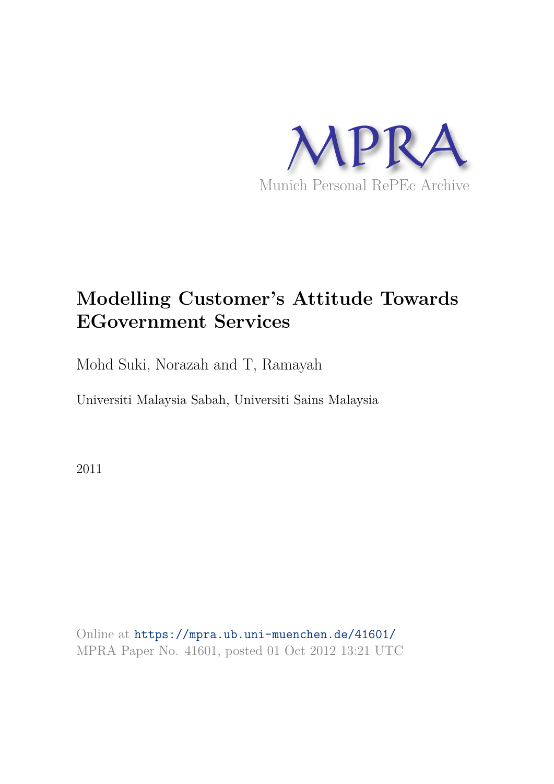

## **Modelling Customer's Attitude Towards EGovernment Services**

Mohd Suki, Norazah and T, Ramayah

Universiti Malaysia Sabah, Universiti Sains Malaysia

2011

Online at https://mpra.ub.uni-muenchen.de/41601/ MPRA Paper No. 41601, posted 01 Oct 2012 13:21 UTC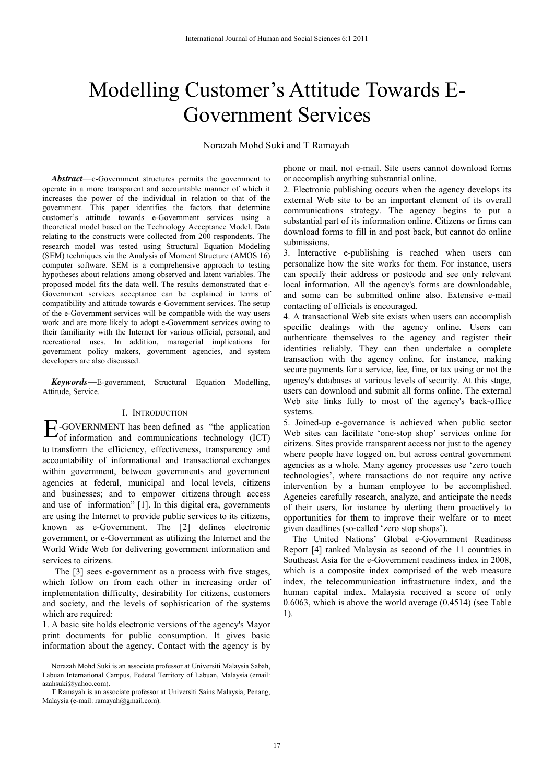# Modelling Customer's Attitude Towards E-Government Services

Norazah Mohd Suki and T Ramayah

*Abstract*—e-Government structures permits the government to operate in a more transparent and accountable manner of which it increases the power of the individual in relation to that of the government. This paper identifies the factors that determine customer's attitude towards e-Government services using a theoretical model based on the Technology Acceptance Model. Data relating to the constructs were collected from 200 respondents. The research model was tested using Structural Equation Modeling (SEM) techniques via the Analysis of Moment Structure (AMOS 16) computer software. SEM is a comprehensive approach to testing hypotheses about relations among observed and latent variables. The proposed model fits the data well. The results demonstrated that e-Government services acceptance can be explained in terms of compatibility and attitude towards e-Government services. The setup of the e-Government services will be compatible with the way users work and are more likely to adopt e-Government services owing to their familiarity with the Internet for various official, personal, and recreational uses. In addition, managerial implications for government policy makers, government agencies, and system developers are also discussed.

*Keywords***—**E-government, Structural Equation Modelling, Attitude, Service.

#### I. INTRODUCTION

 $E$ -GOVERNMENT has been defined as "the application of information and communications technology (ICT) of information and communications technology (ICT) to transform the efficiency, effectiveness, transparency and accountability of informational and transactional exchanges within government, between governments and government agencies at federal, municipal and local levels, citizens and businesses; and to empower citizens through access and use of information" [1]. In this digital era, governments are using the Internet to provide public services to its citizens, known as e-Government. The [2] defines electronic government, or e-Government as utilizing the Internet and the World Wide Web for delivering government information and services to citizens.

The [3] sees e-government as a process with five stages, which follow on from each other in increasing order of implementation difficulty, desirability for citizens, customers and society, and the levels of sophistication of the systems which are required:

1. A basic site holds electronic versions of the agency's Mayor print documents for public consumption. It gives basic information about the agency. Contact with the agency is by phone or mail, not e-mail. Site users cannot download forms or accomplish anything substantial online.

2. Electronic publishing occurs when the agency develops its external Web site to be an important element of its overall communications strategy. The agency begins to put a substantial part of its information online. Citizens or firms can download forms to fill in and post back, but cannot do online submissions.

3. Interactive e-publishing is reached when users can personalize how the site works for them. For instance, users can specify their address or postcode and see only relevant local information. All the agency's forms are downloadable, and some can be submitted online also. Extensive e-mail contacting of officials is encouraged.

4. A transactional Web site exists when users can accomplish specific dealings with the agency online. Users can authenticate themselves to the agency and register their identities reliably. They can then undertake a complete transaction with the agency online, for instance, making secure payments for a service, fee, fine, or tax using or not the agency's databases at various levels of security. At this stage, users can download and submit all forms online. The external Web site links fully to most of the agency's back-office systems.

5. Joined-up e-governance is achieved when public sector Web sites can facilitate 'one-stop shop' services online for citizens. Sites provide transparent access not just to the agency where people have logged on, but across central government agencies as a whole. Many agency processes use 'zero touch technologies', where transactions do not require any active intervention by a human employee to be accomplished. Agencies carefully research, analyze, and anticipate the needs of their users, for instance by alerting them proactively to opportunities for them to improve their welfare or to meet given deadlines (so-called 'zero stop shops').

The United Nations' Global e-Government Readiness Report [4] ranked Malaysia as second of the 11 countries in Southeast Asia for the e-Government readiness index in 2008, which is a composite index comprised of the web measure index, the telecommunication infrastructure index, and the human capital index. Malaysia received a score of only 0.6063, which is above the world average (0.4514) (see Table 1).

Norazah Mohd Suki is an associate professor at Universiti Malaysia Sabah, Labuan International Campus, Federal Territory of Labuan, Malaysia (email: azahsuki@yahoo.com).

T Ramayah is an associate professor at Universiti Sains Malaysia, Penang, Malaysia (e-mail: ramayah@gmail.com).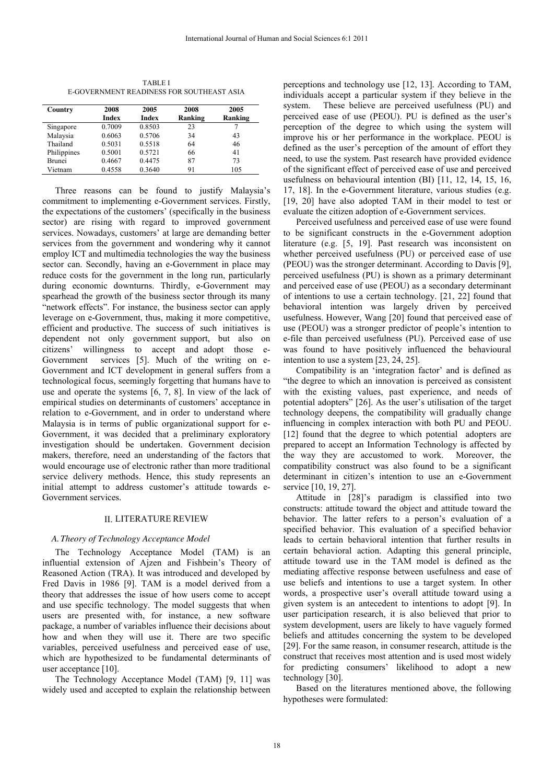| <b>TABLE I</b>                            |
|-------------------------------------------|
| E-GOVERNMENT READINESS FOR SOUTHEAST ASIA |

| Country       | 2008   | 2005         | 2008    | 2005    |
|---------------|--------|--------------|---------|---------|
|               | Index  | <b>Index</b> | Ranking | Ranking |
| Singapore     | 0.7009 | 0.8503       | 23      |         |
| Malaysia      | 0.6063 | 0.5706       | 34      | 43      |
| Thailand      | 0.5031 | 0.5518       | 64      | 46      |
| Philippines   | 0.5001 | 0.5721       | 66      | 41      |
| <b>Brunei</b> | 0.4667 | 0.4475       | 87      | 73      |
| Vietnam       | 0.4558 | 0.3640       | 91      | 105     |

Three reasons can be found to justify Malaysia's commitment to implementing e-Government services. Firstly, the expectations of the customers' (specifically in the business sector) are rising with regard to improved government services. Nowadays, customers' at large are demanding better services from the government and wondering why it cannot employ ICT and multimedia technologies the way the business sector can. Secondly, having an e-Government in place may reduce costs for the government in the long run, particularly during economic downturns. Thirdly, e-Government may spearhead the growth of the business sector through its many "network effects". For instance, the business sector can apply leverage on e-Government, thus, making it more competitive, efficient and productive. The success of such initiatives is dependent not only government support, but also on citizens' willingness to accept and adopt those e-Government services [5]. Much of the writing on e-Government and ICT development in general suffers from a technological focus, seemingly forgetting that humans have to use and operate the systems [6, 7, 8]. In view of the lack of empirical studies on determinants of customers' acceptance in relation to e-Government, and in order to understand where Malaysia is in terms of public organizational support for e-Government, it was decided that a preliminary exploratory investigation should be undertaken. Government decision makers, therefore, need an understanding of the factors that would encourage use of electronic rather than more traditional service delivery methods. Hence, this study represents an initial attempt to address customer's attitude towards e-Government services.

#### II. LITERATURE REVIEW

### *A.Theory of Technology Acceptance Model*

The Technology Acceptance Model (TAM) is an influential extension of Ajzen and Fishbein's Theory of Reasoned Action (TRA). It was introduced and developed by Fred Davis in 1986 [9]. TAM is a model derived from a theory that addresses the issue of how users come to accept and use specific technology. The model suggests that when users are presented with, for instance, a new software package, a number of variables influence their decisions about how and when they will use it. There are two specific variables, perceived usefulness and perceived ease of use, which are hypothesized to be fundamental determinants of user acceptance [10].

The Technology Acceptance Model (TAM) [9, 11] was widely used and accepted to explain the relationship between perceptions and technology use [12, 13]. According to TAM, individuals accept a particular system if they believe in the system. These believe are perceived usefulness (PU) and perceived ease of use (PEOU). PU is defined as the user's perception of the degree to which using the system will improve his or her performance in the workplace. PEOU is defined as the user's perception of the amount of effort they need, to use the system. Past research have provided evidence of the significant effect of perceived ease of use and perceived usefulness on behavioural intention (BI) [11, 12, 14, 15, 16, 17, 18]. In the e-Government literature, various studies (e.g. [19, 20] have also adopted TAM in their model to test or evaluate the citizen adoption of e-Government services.

Perceived usefulness and perceived ease of use were found to be significant constructs in the e-Government adoption literature (e.g. [5, 19]. Past research was inconsistent on whether perceived usefulness (PU) or perceived ease of use (PEOU) was the stronger determinant. According to Davis [9], perceived usefulness (PU) is shown as a primary determinant and perceived ease of use (PEOU) as a secondary determinant of intentions to use a certain technology. [21, 22] found that behavioral intention was largely driven by perceived usefulness. However, Wang [20] found that perceived ease of use (PEOU) was a stronger predictor of people's intention to e-file than perceived usefulness (PU). Perceived ease of use was found to have positively influenced the behavioural intention to use a system [23, 24, 25].

Compatibility is an 'integration factor' and is defined as "the degree to which an innovation is perceived as consistent with the existing values, past experience, and needs of potential adopters" [26]. As the user's utilisation of the target technology deepens, the compatibility will gradually change influencing in complex interaction with both PU and PEOU. [12] found that the degree to which potential adopters are prepared to accept an Information Technology is affected by the way they are accustomed to work. Moreover, the compatibility construct was also found to be a significant determinant in citizen's intention to use an e-Government service [10, 19, 27].

Attitude in [28]'s paradigm is classified into two constructs: attitude toward the object and attitude toward the behavior. The latter refers to a person's evaluation of a specified behavior. This evaluation of a specified behavior leads to certain behavioral intention that further results in certain behavioral action. Adapting this general principle, attitude toward use in the TAM model is defined as the mediating affective response between usefulness and ease of use beliefs and intentions to use a target system. In other words, a prospective user's overall attitude toward using a given system is an antecedent to intentions to adopt [9]. In user participation research, it is also believed that prior to system development, users are likely to have vaguely formed beliefs and attitudes concerning the system to be developed [29]. For the same reason, in consumer research, attitude is the construct that receives most attention and is used most widely for predicting consumers' likelihood to adopt a new technology [30].

Based on the literatures mentioned above, the following hypotheses were formulated: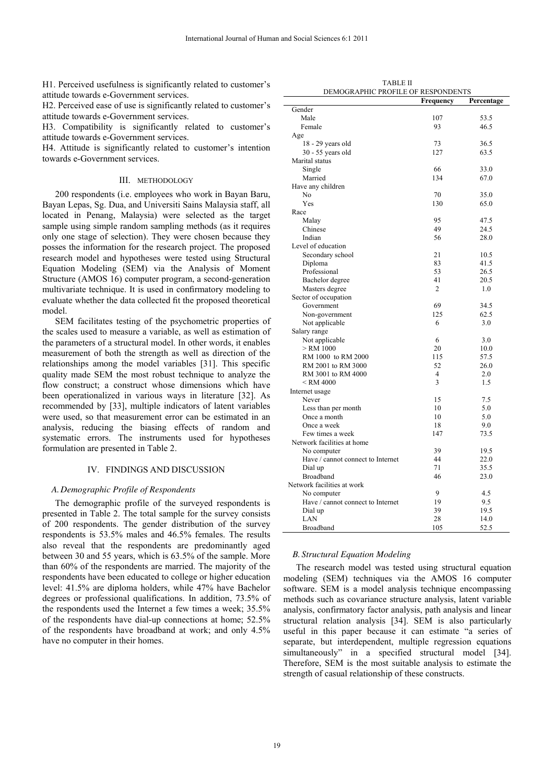H1. Perceived usefulness is significantly related to customer's attitude towards e-Government services.

H2. Perceived ease of use is significantly related to customer's attitude towards e-Government services.

H3. Compatibility is significantly related to customer's attitude towards e-Government services.

H4. Attitude is significantly related to customer's intention towards e-Government services.

#### III. METHODOLOGY

200 respondents (i.e. employees who work in Bayan Baru, Bayan Lepas, Sg. Dua, and Universiti Sains Malaysia staff, all located in Penang, Malaysia) were selected as the target sample using simple random sampling methods (as it requires only one stage of selection). They were chosen because they posses the information for the research project. The proposed research model and hypotheses were tested using Structural Equation Modeling (SEM) via the Analysis of Moment Structure (AMOS 16) computer program, a second-generation multivariate technique. It is used in confirmatory modeling to evaluate whether the data collected fit the proposed theoretical model.

SEM facilitates testing of the psychometric properties of the scales used to measure a variable, as well as estimation of the parameters of a structural model. In other words, it enables measurement of both the strength as well as direction of the relationships among the model variables [31]. This specific quality made SEM the most robust technique to analyze the flow construct; a construct whose dimensions which have been operationalized in various ways in literature [32]. As recommended by [33], multiple indicators of latent variables were used, so that measurement error can be estimated in an analysis, reducing the biasing effects of random and systematic errors. The instruments used for hypotheses formulation are presented in Table 2.

#### IV. FINDINGS AND DISCUSSION

#### *A.Demographic Profile of Respondents*

The demographic profile of the surveyed respondents is presented in Table 2. The total sample for the survey consists of 200 respondents. The gender distribution of the survey respondents is 53.5% males and 46.5% females. The results also reveal that the respondents are predominantly aged between 30 and 55 years, which is 63.5% of the sample. More than 60% of the respondents are married. The majority of the respondents have been educated to college or higher education level: 41.5% are diploma holders, while 47% have Bachelor degrees or professional qualifications. In addition, 73.5% of the respondents used the Internet a few times a week; 35.5% of the respondents have dial-up connections at home; 52.5% of the respondents have broadband at work; and only 4.5% have no computer in their homes.

TABLE II DEMOGRAPHIC PROFILE OF RESPONDENTS

|                                   | Frequency      | Percentage |
|-----------------------------------|----------------|------------|
| Gender                            |                |            |
| Male                              | 107            | 53.5       |
| Female                            | 93             | 46.5       |
| Age                               |                |            |
| 18 - 29 years old                 | 73             | 36.5       |
| 30 - 55 years old                 | 127            | 63.5       |
| Marital status                    |                |            |
| Single                            | 66             | 33.0       |
| Married                           | 134            | 67.0       |
| Have any children                 |                |            |
| N <sub>0</sub>                    | 70             | 35.0       |
| Yes                               | 130            | 65.0       |
| Race                              |                |            |
| Malay                             | 95             | 47.5       |
| Chinese                           | 49             | 24.5       |
| Indian                            | 56             | 28.0       |
| Level of education                |                |            |
|                                   |                |            |
| Secondary school                  | 21             | 10.5       |
| Diploma                           | 83             | 41.5       |
| Professional                      | 53             | 26.5       |
| Bachelor degree                   | 41             | 20.5       |
| Masters degree                    | 2              | 1.0        |
| Sector of occupation              |                |            |
| Government                        | 69             | 34.5       |
| Non-government                    | 125            | 62.5       |
| Not applicable                    | 6              | 3.0        |
| Salary range                      |                |            |
| Not applicable                    | 6              | 3.0        |
| $>$ RM 1000                       | 20             | 10.0       |
| RM 1000 to RM 2000                | 115            | 57.5       |
| RM 2001 to RM 3000                | 52             | 26.0       |
| RM 3001 to RM 4000                | $\overline{4}$ | 2.0        |
| $<$ RM 4000 $\,$                  | 3              | 1.5        |
| Internet usage                    |                |            |
| Never                             | 15             | 7.5        |
| Less than per month               | 10             | 5.0        |
| Once a month                      | 10             | 5.0        |
| Once a week                       | 18             | 9.0        |
| Few times a week                  | 147            | 73.5       |
| Network facilities at home        |                |            |
| No computer                       | 39             | 19.5       |
| Have / cannot connect to Internet | 44             | 22.0       |
| Dial up                           | 71             | 35.5       |
| <b>Broadband</b>                  | 46             | 23.0       |
| Network facilities at work        |                |            |
| No computer                       | 9              | 4.5        |
| Have / cannot connect to Internet | 19             | 9.5        |
| Dial up                           | 39             | 19.5       |
| LAN                               | 28             | 14.0       |
| Broadband                         | 105            | 52.5       |

#### *B. Structural Equation Modeling*

The research model was tested using structural equation modeling (SEM) techniques via the AMOS 16 computer software. SEM is a model analysis technique encompassing methods such as covariance structure analysis, latent variable analysis, confirmatory factor analysis, path analysis and linear structural relation analysis [34]. SEM is also particularly useful in this paper because it can estimate "a series of separate, but interdependent, multiple regression equations simultaneously" in a specified structural model [34]. Therefore, SEM is the most suitable analysis to estimate the strength of casual relationship of these constructs.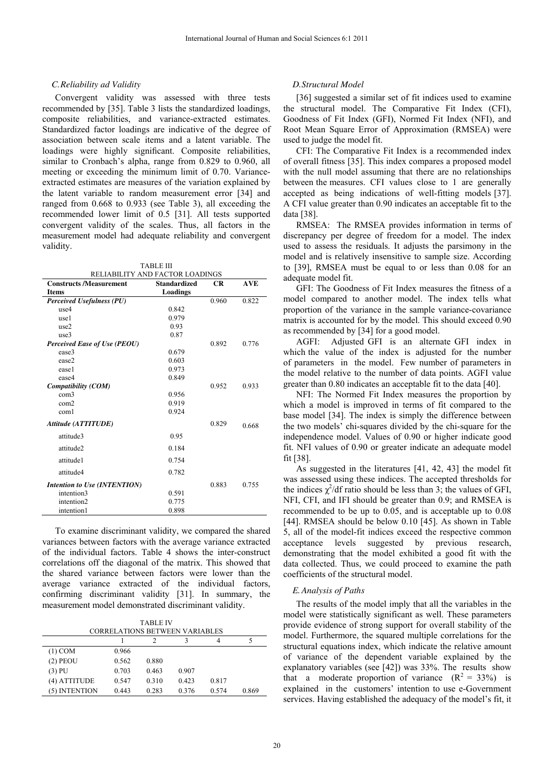#### *C.Reliability ad Validity*

Convergent validity was assessed with three tests recommended by [35]. Table 3 lists the standardized loadings, composite reliabilities, and variance-extracted estimates. Standardized factor loadings are indicative of the degree of association between scale items and a latent variable. The loadings were highly significant. Composite reliabilities, similar to Cronbach's alpha, range from 0.829 to 0.960, all meeting or exceeding the minimum limit of 0.70. Varianceextracted estimates are measures of the variation explained by the latent variable to random measurement error [34] and ranged from 0.668 to 0.933 (see Table 3), all exceeding the recommended lower limit of 0.5 [31]. All tests supported convergent validity of the scales. Thus, all factors in the measurement model had adequate reliability and convergent validity.

TABLE III RELIABILITY AND FACTOR LOADINGS

| <b>Constructs /Measurement</b>      | LL MOIL I I INDITICTOR LOIDINGS<br><b>Standardized</b> | <b>CR</b> | <b>AVE</b> |
|-------------------------------------|--------------------------------------------------------|-----------|------------|
| <b>Items</b>                        | Loadings                                               |           |            |
| <b>Perceived Usefulness (PU)</b>    |                                                        | 0.960     | 0.822      |
| use4                                | 0.842                                                  |           |            |
| use1                                | 0.979                                                  |           |            |
| use2                                | 0.93                                                   |           |            |
| use3                                | 0.87                                                   |           |            |
| <b>Perceived Ease of Use (PEOU)</b> |                                                        | 0.892     | 0.776      |
| ease3                               | 0.679                                                  |           |            |
| ease2                               | 0.603                                                  |           |            |
| ease1                               | 0.973                                                  |           |            |
| ease4                               | 0.849                                                  |           |            |
| Compatibility (COM)                 |                                                        | 0.952     | 0.933      |
| com3                                | 0.956                                                  |           |            |
| com2                                | 0.919                                                  |           |            |
| com1                                | 0.924                                                  |           |            |
| Attitude (ATTITUDE)                 |                                                        | 0.829     | 0.668      |
| attitude3                           | 0.95                                                   |           |            |
| attitude2                           | 0.184                                                  |           |            |
| attitude1                           | 0.754                                                  |           |            |
| attitude4                           | 0.782                                                  |           |            |
| Intention to Use (INTENTION)        |                                                        | 0.883     | 0.755      |
| intention3                          | 0.591                                                  |           |            |
| intention2                          | 0.775                                                  |           |            |
| intention1                          | 0.898                                                  |           |            |

To examine discriminant validity, we compared the shared variances between factors with the average variance extracted of the individual factors. Table 4 shows the inter-construct correlations off the diagonal of the matrix. This showed that the shared variance between factors were lower than the average variance extracted of the individual factors, confirming discriminant validity [31]. In summary, the measurement model demonstrated discriminant validity.

TABLE IV

| <b>CORRELATIONS BETWEEN VARIABLES</b> |       |       |       |       |       |
|---------------------------------------|-------|-------|-------|-------|-------|
|                                       |       |       |       | 4     |       |
| $(1)$ COM                             | 0.966 |       |       |       |       |
| $(2)$ PEOU                            | 0.562 | 0.880 |       |       |       |
| $(3)$ PU                              | 0.703 | 0.463 | 0.907 |       |       |
| (4) ATTITUDE                          | 0.547 | 0.310 | 0.423 | 0.817 |       |
| (5) INTENTION                         | 0.443 | 0.283 | 0.376 | 0.574 | 0.869 |

## *D.Structural Model*

[36] suggested a similar set of fit indices used to examine the structural model. The Comparative Fit Index (CFI), Goodness of Fit Index (GFI), Normed Fit Index (NFI), and Root Mean Square Error of Approximation (RMSEA) were used to judge the model fit.

CFI: The Comparative Fit Index is a recommended index of overall fitness [35]. This index compares a proposed model with the null model assuming that there are no relationships between the measures. CFI values close to 1 are generally accepted as being indications of well-fitting models [37]. A CFI value greater than 0.90 indicates an acceptable fit to the data [38].

RMSEA: The RMSEA provides information in terms of discrepancy per degree of freedom for a model. The index used to assess the residuals. It adjusts the parsimony in the model and is relatively insensitive to sample size. According to [39], RMSEA must be equal to or less than 0.08 for an adequate model fit.

GFI: The Goodness of Fit Index measures the fitness of a model compared to another model. The index tells what proportion of the variance in the sample variance-covariance matrix is accounted for by the model. This should exceed 0.90 as recommended by [34] for a good model.

AGFI: Adjusted GFI is an alternate GFI index in which the value of the index is adjusted for the number of parameters in the model. Few number of parameters in the model relative to the number of data points. AGFI value greater than 0.80 indicates an acceptable fit to the data [40].

NFI: The Normed Fit Index measures the proportion by which a model is improved in terms of fit compared to the base model [34]. The index is simply the difference between the two models' chi-squares divided by the chi-square for the independence model. Values of 0.90 or higher indicate good fit. NFI values of 0.90 or greater indicate an adequate model fit [38].

As suggested in the literatures [41, 42, 43] the model fit was assessed using these indices. The accepted thresholds for the indices  $\chi^2$ /df ratio should be less than 3; the values of GFI, NFI, CFI, and IFI should be greater than 0.9; and RMSEA is recommended to be up to 0.05, and is acceptable up to 0.08 [44]. RMSEA should be below 0.10 [45]. As shown in Table 5, all of the model-fit indices exceed the respective common acceptance levels suggested by previous research, demonstrating that the model exhibited a good fit with the data collected. Thus, we could proceed to examine the path coefficients of the structural model.

#### *E.Analysis of Paths*

The results of the model imply that all the variables in the model were statistically significant as well. These parameters provide evidence of strong support for overall stability of the model. Furthermore, the squared multiple correlations for the structural equations index, which indicate the relative amount of variance of the dependent variable explained by the explanatory variables (see [42]) was 33%. The results show that a moderate proportion of variance  $(R^2 = 33\%)$  is explained in the customers' intention to use e-Government services. Having established the adequacy of the model's fit, it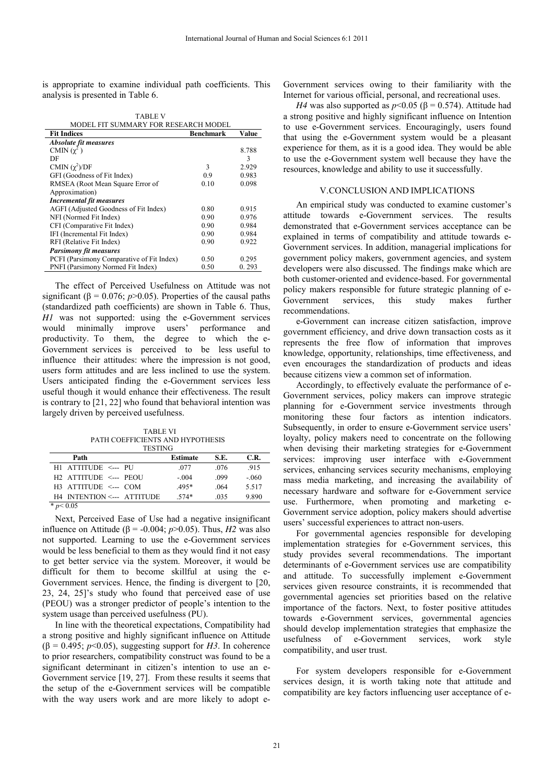is appropriate to examine individual path coefficients. This analysis is presented in Table 6.

| MODEL FIT SUMMARY FOR RESEARCH MODEL      |           |       |  |  |
|-------------------------------------------|-----------|-------|--|--|
| <b>Fit Indices</b>                        | Benchmark | Value |  |  |
| Absolute fit measures                     |           |       |  |  |
| CMIN $(\gamma^2)$                         |           | 8.788 |  |  |
| DF                                        |           | 3     |  |  |
| CMIN $(\chi^2)/DF$                        | 3         | 2.929 |  |  |
| GFI (Goodness of Fit Index)               | 0.9       | 0.983 |  |  |
| RMSEA (Root Mean Square Error of          | 0.10      | 0.098 |  |  |
| Approximation)                            |           |       |  |  |
| <b>Incremental fit measures</b>           |           |       |  |  |
| AGFI (Adjusted Goodness of Fit Index)     | 0.80      | 0.915 |  |  |
| NFI (Normed Fit Index)                    | 0.90      | 0.976 |  |  |
| CFI (Comparative Fit Index)               | 0.90      | 0.984 |  |  |
| IFI (Incremental Fit Index)               | 0.90      | 0.984 |  |  |
| RFI (Relative Fit Index)                  | 0.90      | 0.922 |  |  |
| <b>Parsimony fit measures</b>             |           |       |  |  |
| PCFI (Parsimony Comparative of Fit Index) | 0.50      | 0.295 |  |  |
| PNFI (Parsimony Normed Fit Index)         | 0.50      | 0.293 |  |  |

TABLE V

The effect of Perceived Usefulness on Attitude was not significant ( $\beta$  = 0.076; *p*>0.05). Properties of the causal paths (standardized path coefficients) are shown in Table 6. Thus, *H1* was not supported: using the e-Government services would minimally improve users' performance and productivity. To them, the degree to which the e-Government services is perceived to be less useful to influence their attitudes: where the impression is not good, users form attitudes and are less inclined to use the system. Users anticipated finding the e-Government services less useful though it would enhance their effectiveness. The result is contrary to [21, 22] who found that behavioral intention was largely driven by perceived usefulness.

 TABLE VI PATH COEFFICIENTS AND HYPOTHESIS

| <b>TESTING</b>                    |                 |      |        |  |
|-----------------------------------|-----------------|------|--------|--|
| Path                              | <b>Estimate</b> | S.E. | C.R.   |  |
| H1 ATTITUDE <--- PU               | .077            | .076 | .915   |  |
| H <sub>2</sub> ATTITUDE <--- PEOU | $-.004$         | .099 | $-060$ |  |
| $H3$ ATTITUDE $\leq$ --- COM      | $.495*$         | .064 | 5.517  |  |
| H4 INTENTION <--- ATTITUDE        | $.574*$         | .035 | 9.890  |  |
| $*_{n<}$ 0.05                     |                 |      |        |  |

 $p < 0.05$ 

Next, Perceived Ease of Use had a negative insignificant influence on Attitude ( $β = -0.004$ ;  $p > 0.05$ ). Thus, *H2* was also not supported. Learning to use the e-Government services would be less beneficial to them as they would find it not easy to get better service via the system. Moreover, it would be difficult for them to become skillful at using the e-Government services. Hence, the finding is divergent to [20, 23, 24, 25]'s study who found that perceived ease of use (PEOU) was a stronger predictor of people's intention to the system usage than perceived usefulness (PU).

In line with the theoretical expectations, Compatibility had a strong positive and highly significant influence on Attitude ( $\beta$  = 0.495; *p*<0.05), suggesting support for *H3*. In coherence to prior researchers, compatibility construct was found to be a significant determinant in citizen's intention to use an e-Government service [19, 27]. From these results it seems that the setup of the e-Government services will be compatible with the way users work and are more likely to adopt eGovernment services owing to their familiarity with the Internet for various official, personal, and recreational uses.

*H4* was also supported as  $p<0.05$  ( $\beta$  = 0.574). Attitude had a strong positive and highly significant influence on Intention to use e-Government services. Encouragingly, users found that using the e-Government system would be a pleasant experience for them, as it is a good idea. They would be able to use the e-Government system well because they have the resources, knowledge and ability to use it successfully.

#### V.CONCLUSION AND IMPLICATIONS

An empirical study was conducted to examine customer's attitude towards e-Government services. The results demonstrated that e-Government services acceptance can be explained in terms of compatibility and attitude towards e-Government services. In addition, managerial implications for government policy makers, government agencies, and system developers were also discussed. The findings make which are both customer-oriented and evidence-based. For governmental policy makers responsible for future strategic planning of e-Government services, this study makes further recommendations.

e-Government can increase citizen satisfaction, improve government efficiency, and drive down transaction costs as it represents the free flow of information that improves knowledge, opportunity, relationships, time effectiveness, and even encourages the standardization of products and ideas because citizens view a common set of information.

Accordingly, to effectively evaluate the performance of e-Government services, policy makers can improve strategic planning for e-Government service investments through monitoring these four factors as intention indicators. Subsequently, in order to ensure e-Government service users' loyalty, policy makers need to concentrate on the following when devising their marketing strategies for e-Government services: improving user interface with e-Government services, enhancing services security mechanisms, employing mass media marketing, and increasing the availability of necessary hardware and software for e-Government service use. Furthermore, when promoting and marketing e-Government service adoption, policy makers should advertise users' successful experiences to attract non-users.

For governmental agencies responsible for developing implementation strategies for e-Government services, this study provides several recommendations. The important determinants of e-Government services use are compatibility and attitude. To successfully implement e-Government services given resource constraints, it is recommended that governmental agencies set priorities based on the relative importance of the factors. Next, to foster positive attitudes towards e-Government services, governmental agencies should develop implementation strategies that emphasize the usefulness of e-Government services, work style compatibility, and user trust.

For system developers responsible for e-Government services design, it is worth taking note that attitude and compatibility are key factors influencing user acceptance of e-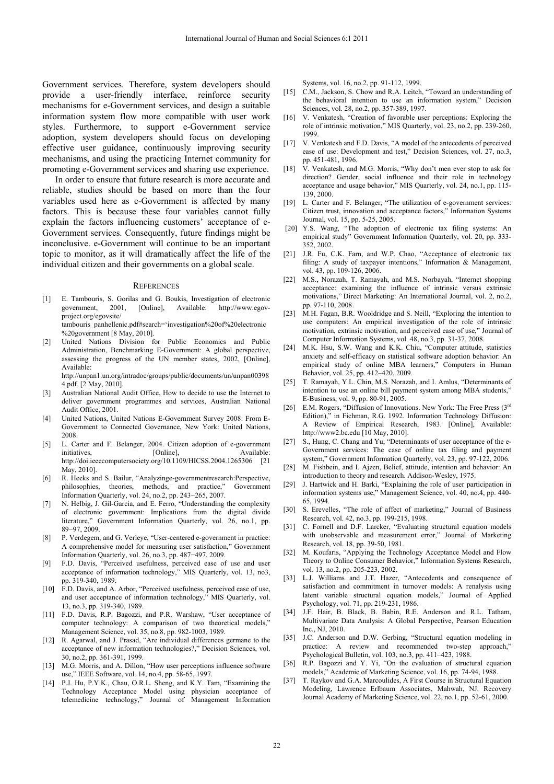Government services. Therefore, system developers should provide a user-friendly interface, reinforce security mechanisms for e-Government services, and design a suitable information system flow more compatible with user work styles. Furthermore, to support e-Government service adoption, system developers should focus on developing effective user guidance, continuously improving security mechanisms, and using the practicing Internet community for promoting e-Government services and sharing use experience.

In order to ensure that future research is more accurate and reliable, studies should be based on more than the four variables used here as e-Government is affected by many factors. This is because these four variables cannot fully explain the factors influencing customers' acceptance of e-Government services. Consequently, future findings might be inconclusive. e-Government will continue to be an important topic to monitor, as it will dramatically affect the life of the individual citizen and their governments on a global scale.

#### **REFERENCES**

- [1] E. Tambouris, S. Gorilas and G. Boukis, Investigation of electronic government, 2001, [Online], Available: http://www.egovproject.org/egovsite/
- tambouris\_panhellenic.pdf#search='investigation%20of%20electronic %20government [8 May, 2010].
- United Nations Division for Public Economics and Public Administration, Benchmarking E-Government: A global perspective, assessing the progress of the UN member states, 2002, [Online], Available:
	- http://unpan1.un.org/intradoc/groups/public/documents/un/unpan00398 4.pdf. [2 May, 2010].
- [3] Australian National Audit Office, How to decide to use the Internet to deliver government programmes and services, Australian National Audit Office, 2001.
- [4] United Nations, United Nations E-Government Survey 2008: From E-Government to Connected Governance, New York: United Nations, 2008.
- [5] L. Carter and F. Belanger, 2004. Citizen adoption of e-government initiatives, [Online], [Online], Available: http://doi.ieeecomputersociety.org/10.1109/HICSS.2004.1265306 [21 May, 2010].
- [6] R. Heeks and S. Bailur, "Analyzinge-governmentresearch: Perspective, philosophies, theories, methods, and practice," Government Information Quarterly, vol. 24, no.2, pp. 243−265, 2007.
- [7] N. Helbig, J. Gil-Garcia, and E. Ferro, "Understanding the complexity of electronic government: Implications from the digital divide literature," Government Information Quarterly, vol. 26, no.1, pp. 89−97, 2009.
- [8] P. Verdegem, and G. Verleye, "User-centered e-government in practice: A comprehensive model for measuring user satisfaction," Government Information Quarterly, vol. 26, no.3, pp. 487−497, 2009.
- [9] F.D. Davis, "Perceived usefulness, perceived ease of use and user acceptance of information technology," MIS Quarterly, vol. 13, no3, pp. 319-340, 1989.
- [10] F.D. Davis, and A. Arbor, "Perceived usefulness, perceived ease of use, and user acceptance of information technology," MIS Quarterly, vol. 13, no.3, pp. 319-340, 1989.
- [11] F.D. Davis, R.P. Bagozzi, and P.R. Warshaw, "User acceptance of computer technology: A comparison of two theoretical models," Management Science, vol. 35, no.8, pp. 982-1003, 1989.
- [12] R. Agarwal, and J. Prasad, "Are individual differences germane to the acceptance of new information technologies?," Decision Sciences, vol. 30, no.2, pp. 361-391, 1999.
- [13] M.G. Morris, and A. Dillon, "How user perceptions influence software use," IEEE Software, vol. 14, no.4, pp. 58-65, 1997.
- [14] P.J. Hu, P.Y.K., Chau, O.R.L. Sheng, and K.Y. Tam, "Examining the Technology Acceptance Model using physician acceptance of telemedicine technology," Journal of Management Information

Systems, vol. 16, no.2, pp. 91-112, 1999.

- [15] C.M., Jackson, S. Chow and R.A. Leitch, "Toward an understanding of the behavioral intention to use an information system," Decision Sciences, vol. 28, no.2, pp. 357-389, 1997.
- [16] V. Venkatesh, "Creation of favorable user perceptions: Exploring the role of intrinsic motivation," MIS Quarterly, vol. 23, no.2, pp. 239-260, 1999.
- [17] V. Venkatesh and F.D. Davis, "A model of the antecedents of perceived ease of use: Development and test," Decision Sciences, vol. 27, no.3, pp. 451-481, 1996.
- [18] V. Venkatesh, and M.G. Morris, "Why don't men ever stop to ask for direction? Gender, social influence and their role in technology acceptance and usage behavior," MIS Quarterly, vol. 24, no.1, pp. 115- 139, 2000.
- [19] L. Carter and F. Belanger, "The utilization of e-government services: Citizen trust, innovation and acceptance factors," Information Systems Journal, vol. 15, pp. 5-25, 2005.
- [20] Y.S. Wang, "The adoption of electronic tax filing systems: An empirical study" Government Information Quarterly, vol. 20, pp. 333- 352, 2002.
- [21] J.R. Fu, C.K. Farn, and W.P. Chao, "Acceptance of electronic tax filing: A study of taxpayer intentions," Information & Management, vol. 43, pp. 109-126, 2006.
- [22] M.S., Norazah, T. Ramayah, and M.S. Norbayah, "Internet shopping acceptance: examining the influence of intrinsic versus extrinsic motivations," Direct Marketing: An International Journal, vol. 2, no.2, pp. 97-110, 2008.
- [23] M.H. Fagan, B.R. Wooldridge and S. Neill, "Exploring the intention to use computers: An empirical investigation of the role of intrinsic motivation, extrinsic motivation, and perceived ease of use," Journal of Computer Information Systems, vol. 48, no.3, pp. 31-37, 2008.
- [24] M.K. Hsu, S.W. Wang and K.K. Chiu, "Computer attitude, statistics anxiety and self-efficacy on statistical software adoption behavior: An empirical study of online MBA learners," Computers in Human Behavior, vol. 25, pp. 412–420, 2009.
- [25] T. Ramayah, Y.L. Chin, M.S. Norazah, and I. Amlus, "Determinants of intention to use an online bill payment system among MBA students," E-Business, vol. 9, pp. 80-91, 2005.
- [26] E.M. Rogers, "Diffusion of Innovations. New York: The Free Press (3rd Edition)," in Fichman, R.G. 1992. Information Technology Diffusion: A Review of Empirical Research, 1983. [Online], Available: http://www2.bc.edu [10 May, 2010].
- [27] S., Hung, C. Chang and Yu, "Determinants of user acceptance of the e-Government services: The case of online tax filing and payment system," Government Information Quarterly, vol. 23, pp. 97-122, 2006.
- [28] M. Fishbein, and I. Ajzen, Belief, attitude, intention and behavior: An introduction to theory and research. Addison-Wesley, 1975.
- [29] J. Hartwick and H. Barki, "Explaining the role of user participation in information systems use," Management Science, vol. 40, no.4, pp. 440- 65, 1994.
- [30] S. Erevelles, "The role of affect of marketing," Journal of Business Research, vol. 42, no.3, pp. 199-215, 1998.
- [31] C. Fornell and D.F. Larcker, "Evaluating structural equation models with unobservable and measurement error," Journal of Marketing Research, vol. 18, pp. 39-50, 1981.
- [32] M. Koufaris, "Applying the Technology Acceptance Model and Flow Theory to Online Consumer Behavior," Information Systems Research, vol. 13, no.2, pp. 205-223, 2002.
- [33] L.J. Williams and J.T. Hazer, "Antecedents and consequence of satisfaction and commitment in turnover models: A renalysis using latent variable structural equation models," Journal of Applied Psychology, vol. 71, pp. 219-231, 1986.
- [34] J.F. Hair, B. Black, B. Babin, R.E. Anderson and R.L. Tatham, Multivariate Data Analysis: A Global Perspective, Pearson Education Inc., NJ, 2010.
- [35] J.C. Anderson and D.W. Gerbing, "Structural equation modeling in practice: A review and recommended two-step approach," Psychological Bulletin, vol. 103, no.3, pp. 411–423, 1988.
- [36] R.P. Bagozzi and Y. Yi, "On the evaluation of structural equation models," Academic of Marketing Science, vol. 16, pp. 74-94, 1988.
- [37] T. Raykov and G.A. Marcoulides, A First Course in Structural Equation Modeling, Lawrence Erlbaum Associates, Mahwah, NJ. Recovery Journal Academy of Marketing Science, vol. 22, no.1, pp. 52-61, 2000.